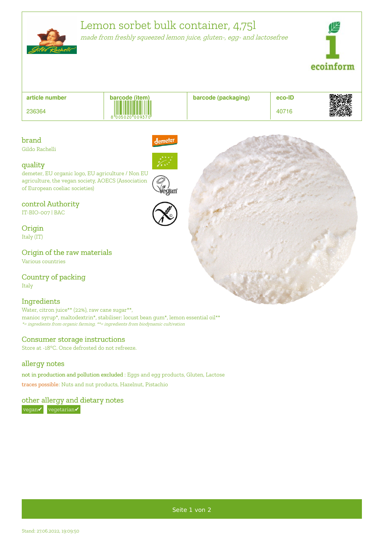

# Lemon sorbet bulk container, 4,75l

demeter

made from freshly squeezed lemon juice, gluten-, egg- and lactosefree



| article number | barcode (item)  | barcode (packaging) | eco-ID | 恩奴滅具   |
|----------------|-----------------|---------------------|--------|--------|
| 236364         | 8 005020 009370 |                     | 40716  | sking. |

# brand

Gildo Rachelli

### quality

demeter, EU organic logo, EU agriculture / Non EU agriculture, the vegan society, AOECS (Association of European coeliac societies)

### control Authority

IT-BIO-007 | BAC

**Origin** Italy (IT)

Origin of the raw materials Various countries

Country of packing Italy

### Ingredients

Water, citron juice\*\* (22%), raw cane sugar\*\*, manioc syrup\*, maltodextrin\*, stabiliser: locust bean gum\*, lemon essential oil\*\* \*= ingredients from organic farming, \*\*= ingredients from biodynamic cultivation

### Consumer storage instructions

Store at -18°C. Once defrosted do not refreeze.

# allergy notes

not in production and pollution excluded : Eggs and egg products, Gluten, Lactose traces possible: Nuts and nut products, Hazelnut, Pistachio

# other allergy and dietary notes

vegan√ vegetarian√